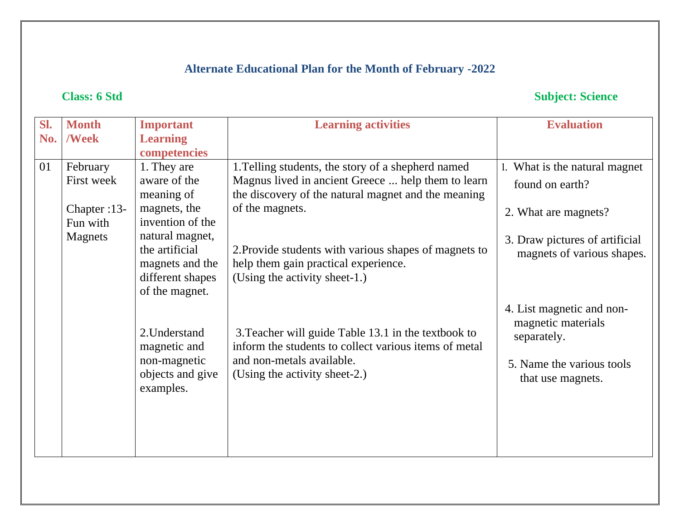# **Alternate Educational Plan for the Month of February -2022**

# **Class: 6 Std Subject: Science**

| Sl. | <b>Month</b> | <b>Important</b>              | <b>Learning activities</b>                                                                                   | <b>Evaluation</b>              |
|-----|--------------|-------------------------------|--------------------------------------------------------------------------------------------------------------|--------------------------------|
| No. | <b>/Week</b> | <b>Learning</b>               |                                                                                                              |                                |
|     |              | competencies                  |                                                                                                              |                                |
| 01  | February     | 1. They are                   | 1. Telling students, the story of a shepherd named                                                           | 1. What is the natural magnet  |
|     | First week   | aware of the                  | Magnus lived in ancient Greece  help them to learn                                                           | found on earth?                |
|     |              | meaning of                    | the discovery of the natural magnet and the meaning                                                          |                                |
|     | Chapter :13- | magnets, the                  | of the magnets.                                                                                              | 2. What are magnets?           |
|     | Fun with     | invention of the              |                                                                                                              |                                |
|     | Magnets      | natural magnet,               |                                                                                                              | 3. Draw pictures of artificial |
|     |              | the artificial                | 2. Provide students with various shapes of magnets to                                                        | magnets of various shapes.     |
|     |              | magnets and the               | help them gain practical experience.                                                                         |                                |
|     |              | different shapes              | (Using the activity sheet-1.)                                                                                |                                |
|     |              | of the magnet.                |                                                                                                              |                                |
|     |              |                               |                                                                                                              | 4. List magnetic and non-      |
|     |              |                               |                                                                                                              | magnetic materials             |
|     |              | 2. Understand<br>magnetic and | 3. Teacher will guide Table 13.1 in the textbook to<br>inform the students to collect various items of metal | separately.                    |
|     |              | non-magnetic                  | and non-metals available.                                                                                    |                                |
|     |              | objects and give              | (Using the activity sheet-2.)                                                                                | 5. Name the various tools      |
|     |              | examples.                     |                                                                                                              | that use magnets.              |
|     |              |                               |                                                                                                              |                                |
|     |              |                               |                                                                                                              |                                |
|     |              |                               |                                                                                                              |                                |
|     |              |                               |                                                                                                              |                                |
|     |              |                               |                                                                                                              |                                |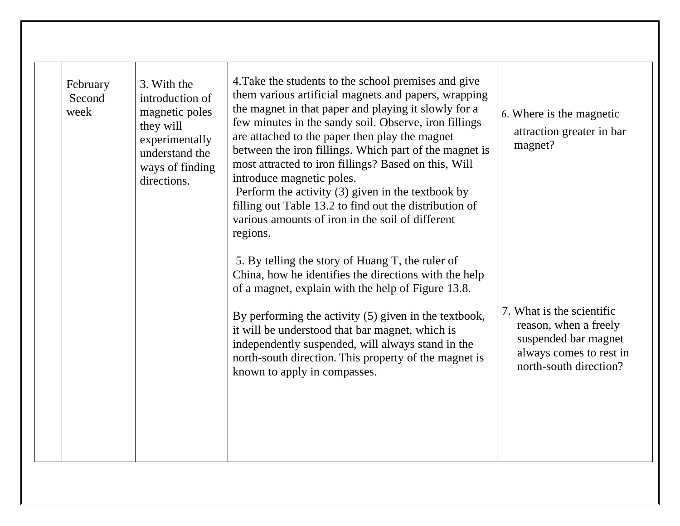| February<br>Second<br>week | 3. With the<br>introduction of<br>magnetic poles<br>they will<br>experimentally<br>understand the<br>ways of finding<br>directions. | 4. Take the students to the school premises and give<br>them various artificial magnets and papers, wrapping<br>the magnet in that paper and playing it slowly for a<br>few minutes in the sandy soil. Observe, iron fillings<br>are attached to the paper then play the magnet<br>between the iron fillings. Which part of the magnet is<br>most attracted to iron fillings? Based on this, Will<br>introduce magnetic poles.<br>Perform the activity $(3)$ given in the textbook by<br>filling out Table 13.2 to find out the distribution of<br>various amounts of iron in the soil of different<br>regions. | 6. Where is the magnetic<br>attraction greater in bar<br>magnet?                                                                |
|----------------------------|-------------------------------------------------------------------------------------------------------------------------------------|-----------------------------------------------------------------------------------------------------------------------------------------------------------------------------------------------------------------------------------------------------------------------------------------------------------------------------------------------------------------------------------------------------------------------------------------------------------------------------------------------------------------------------------------------------------------------------------------------------------------|---------------------------------------------------------------------------------------------------------------------------------|
|                            |                                                                                                                                     | 5. By telling the story of Huang T, the ruler of<br>China, how he identifies the directions with the help<br>of a magnet, explain with the help of Figure 13.8.<br>By performing the activity (5) given in the textbook,<br>it will be understood that bar magnet, which is<br>independently suspended, will always stand in the<br>north-south direction. This property of the magnet is<br>known to apply in compasses.                                                                                                                                                                                       | 7. What is the scientific<br>reason, when a freely<br>suspended bar magnet<br>always comes to rest in<br>north-south direction? |
|                            |                                                                                                                                     |                                                                                                                                                                                                                                                                                                                                                                                                                                                                                                                                                                                                                 |                                                                                                                                 |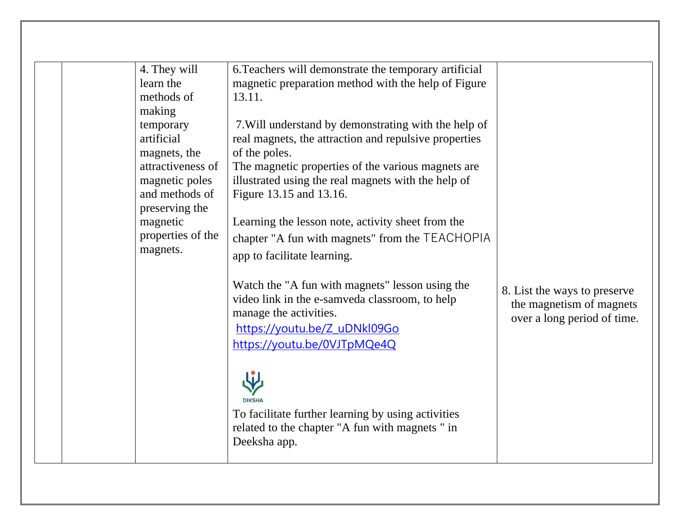|  | 4. They will      | 6. Teachers will demonstrate the temporary artificial |                              |
|--|-------------------|-------------------------------------------------------|------------------------------|
|  | learn the         | magnetic preparation method with the help of Figure   |                              |
|  | methods of        | 13.11.                                                |                              |
|  | making            |                                                       |                              |
|  | temporary         | 7. Will understand by demonstrating with the help of  |                              |
|  | artificial        | real magnets, the attraction and repulsive properties |                              |
|  | magnets, the      | of the poles.                                         |                              |
|  | attractiveness of | The magnetic properties of the various magnets are    |                              |
|  | magnetic poles    | illustrated using the real magnets with the help of   |                              |
|  | and methods of    | Figure 13.15 and 13.16.                               |                              |
|  | preserving the    |                                                       |                              |
|  | magnetic          | Learning the lesson note, activity sheet from the     |                              |
|  | properties of the | chapter "A fun with magnets" from the TEACHOPIA       |                              |
|  | magnets.          | app to facilitate learning.                           |                              |
|  |                   |                                                       |                              |
|  |                   | Watch the "A fun with magnets" lesson using the       |                              |
|  |                   | video link in the e-samveda classroom, to help        | 8. List the ways to preserve |
|  |                   | manage the activities.                                | the magnetism of magnets     |
|  |                   |                                                       | over a long period of time.  |
|  |                   | https://youtu.be/Z_uDNkl09Go                          |                              |
|  |                   | https://youtu.be/0VJTpMQe4Q                           |                              |
|  |                   |                                                       |                              |
|  |                   |                                                       |                              |
|  |                   |                                                       |                              |
|  |                   |                                                       |                              |
|  |                   | To facilitate further learning by using activities    |                              |
|  |                   | related to the chapter "A fun with magnets" in        |                              |
|  |                   | Deeksha app.                                          |                              |
|  |                   |                                                       |                              |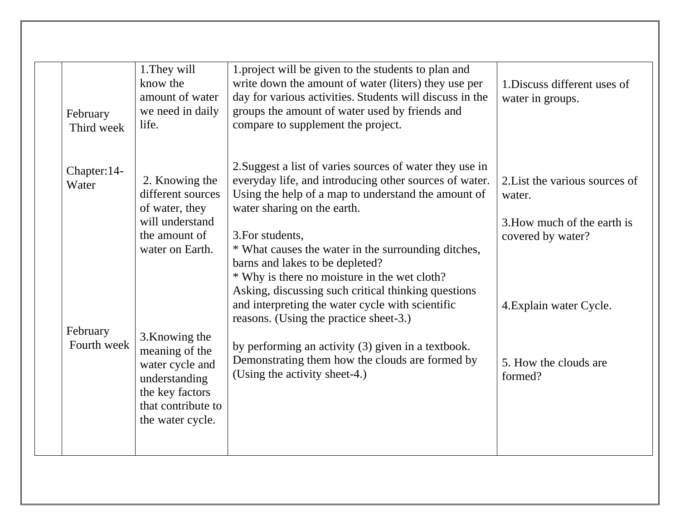| February<br>Third week            | 1. They will<br>know the<br>amount of water<br>we need in daily<br>life.                                                          | 1. project will be given to the students to plan and<br>write down the amount of water (liters) they use per<br>day for various activities. Students will discuss in the<br>groups the amount of water used by friends and<br>compare to supplement the project.                                                                                                                                                                                                                                                            | 1. Discuss different uses of<br>water in groups.                                                                        |
|-----------------------------------|-----------------------------------------------------------------------------------------------------------------------------------|-----------------------------------------------------------------------------------------------------------------------------------------------------------------------------------------------------------------------------------------------------------------------------------------------------------------------------------------------------------------------------------------------------------------------------------------------------------------------------------------------------------------------------|-------------------------------------------------------------------------------------------------------------------------|
| Chapter: 14-<br>Water<br>February | 2. Knowing the<br>different sources<br>of water, they<br>will understand<br>the amount of<br>water on Earth.                      | 2. Suggest a list of varies sources of water they use in<br>everyday life, and introducing other sources of water.<br>Using the help of a map to understand the amount of<br>water sharing on the earth.<br>3. For students,<br>* What causes the water in the surrounding ditches,<br>barns and lakes to be depleted?<br>* Why is there no moisture in the wet cloth?<br>Asking, discussing such critical thinking questions<br>and interpreting the water cycle with scientific<br>reasons. (Using the practice sheet-3.) | 2. List the various sources of<br>water.<br>3. How much of the earth is<br>covered by water?<br>4. Explain water Cycle. |
| Fourth week                       | 3. Knowing the<br>meaning of the<br>water cycle and<br>understanding<br>the key factors<br>that contribute to<br>the water cycle. | by performing an activity (3) given in a textbook.<br>Demonstrating them how the clouds are formed by<br>(Using the activity sheet-4.)                                                                                                                                                                                                                                                                                                                                                                                      | 5. How the clouds are<br>formed?                                                                                        |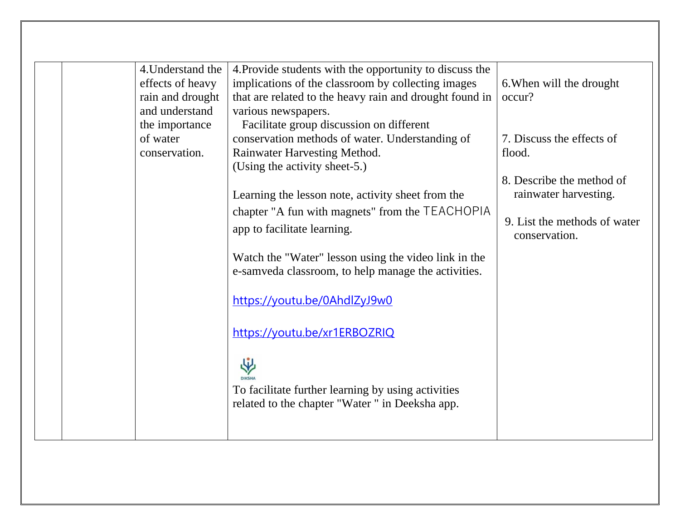|  | 4. Understand the | 4. Provide students with the opportunity to discuss the |                              |
|--|-------------------|---------------------------------------------------------|------------------------------|
|  | effects of heavy  | implications of the classroom by collecting images      | 6. When will the drought     |
|  | rain and drought  | that are related to the heavy rain and drought found in | occur?                       |
|  | and understand    | various newspapers.                                     |                              |
|  | the importance    | Facilitate group discussion on different                |                              |
|  | of water          | conservation methods of water. Understanding of         | 7. Discuss the effects of    |
|  | conservation.     | Rainwater Harvesting Method.                            | flood.                       |
|  |                   | (Using the activity sheet-5.)                           |                              |
|  |                   |                                                         | 8. Describe the method of    |
|  |                   | Learning the lesson note, activity sheet from the       | rainwater harvesting.        |
|  |                   | chapter "A fun with magnets" from the TEACHOPIA         |                              |
|  |                   | app to facilitate learning.                             | 9. List the methods of water |
|  |                   |                                                         | conservation.                |
|  |                   | Watch the "Water" lesson using the video link in the    |                              |
|  |                   | e-samveda classroom, to help manage the activities.     |                              |
|  |                   |                                                         |                              |
|  |                   | https://youtu.be/0AhdlZyJ9w0                            |                              |
|  |                   |                                                         |                              |
|  |                   |                                                         |                              |
|  |                   | https://youtu.be/xr1ERBOZRIQ                            |                              |
|  |                   |                                                         |                              |
|  |                   | 个                                                       |                              |
|  |                   |                                                         |                              |
|  |                   | To facilitate further learning by using activities      |                              |
|  |                   | related to the chapter "Water" in Deeksha app.          |                              |
|  |                   |                                                         |                              |
|  |                   |                                                         |                              |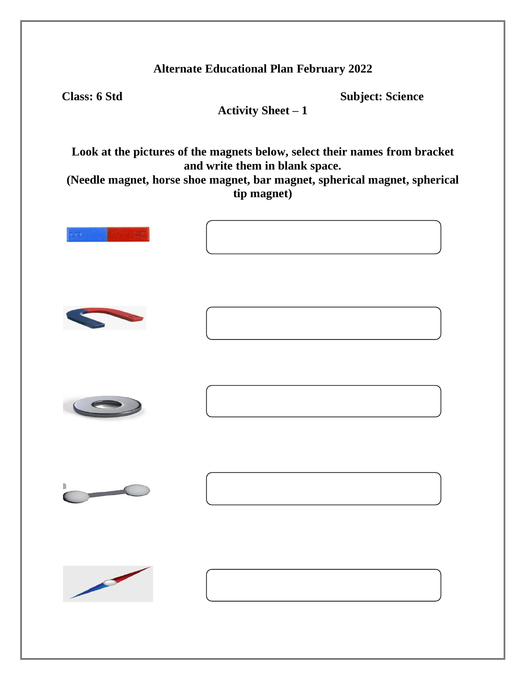**Class: 6 Std Subject: Science**

**Activity Sheet – 1**

**Look at the pictures of the magnets below, select their names from bracket and write them in blank space.**

**(Needle magnet, horse shoe magnet, bar magnet, spherical magnet, spherical tip magnet)**

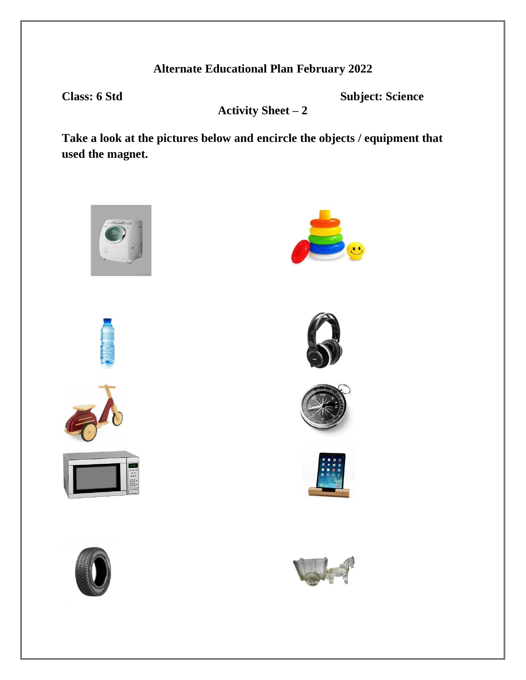**Class: 6 Std Subject: Science**

**Activity Sheet – 2**

**Take a look at the pictures below and encircle the objects / equipment that used the magnet.**

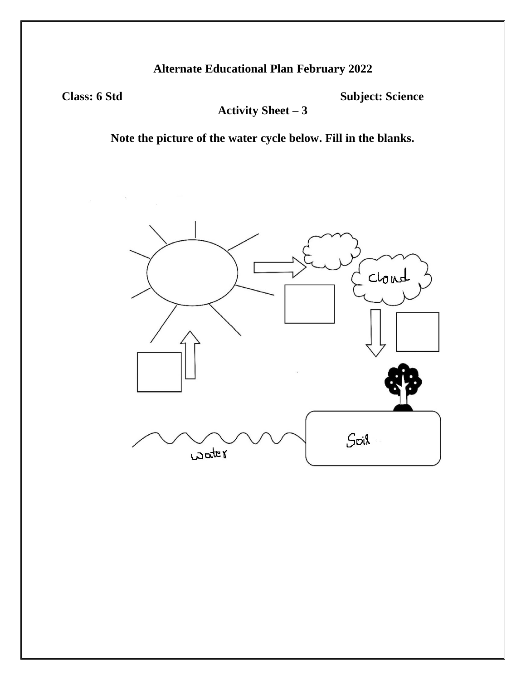**Class: 6 Std Subject: Science**

**Activity Sheet – 3**

**Note the picture of the water cycle below. Fill in the blanks.**

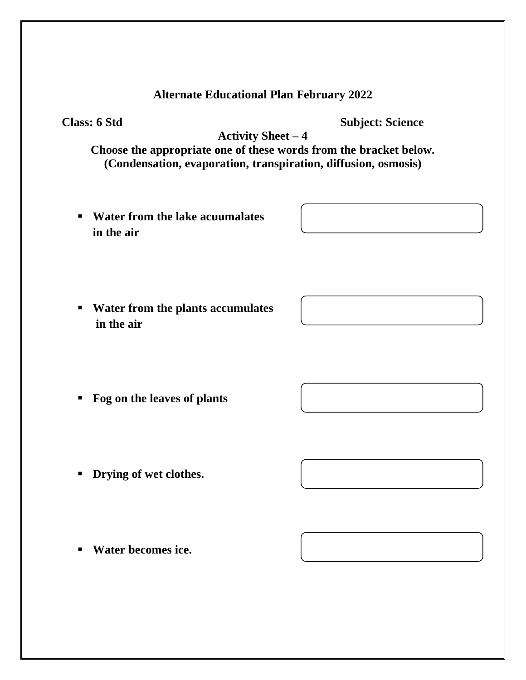**Class: 6 Std Subject: Science**

**Activity Sheet – 4**

**Choose the appropriate one of these words from the bracket below. (Condensation, evaporation, transpiration, diffusion, osmosis)**

- **Water from the lake acuumalates in the air**
- **Water from the plants accumulates in the air**

▪ **Fog on the leaves of plants**

- **Drying of wet clothes.**
- **Water becomes ice.**